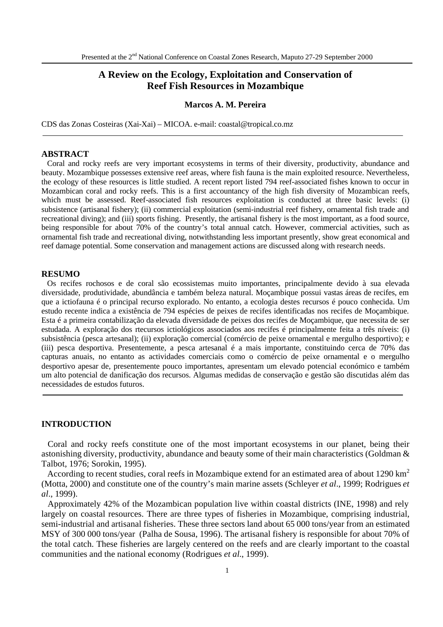# **A Review on the Ecology, Exploitation and Conservation of Reef Fish Resources in Mozambique**

#### **Marcos A. M. Pereira**

CDS das Zonas Costeiras (Xai-Xai) – MICOA. e-mail: coastal@tropical.co.mz

# **ABSTRACT**

 Coral and rocky reefs are very important ecosystems in terms of their diversity, productivity, abundance and beauty. Mozambique possesses extensive reef areas, where fish fauna is the main exploited resource. Nevertheless, the ecology of these resources is little studied. A recent report listed 794 reef-associated fishes known to occur in Mozambican coral and rocky reefs. This is a first accountancy of the high fish diversity of Mozambican reefs, which must be assessed. Reef-associated fish resources exploitation is conducted at three basic levels: (i) subsistence (artisanal fishery); (ii) commercial exploitation (semi-industrial reef fishery, ornamental fish trade and recreational diving); and (iii) sports fishing. Presently, the artisanal fishery is the most important, as a food source, being responsible for about 70% of the country's total annual catch. However, commercial activities, such as ornamental fish trade and recreational diving, notwithstanding less important presently, show great economical and reef damage potential. Some conservation and management actions are discussed along with research needs.

#### **RESUMO**

 Os recifes rochosos e de coral são ecossistemas muito importantes, principalmente devido à sua elevada diversidade, produtividade, abundância e também beleza natural. Moçambique possui vastas áreas de recifes, em que a ictiofauna é o principal recurso explorado. No entanto, a ecologia destes recursos é pouco conhecida. Um estudo recente indica a existência de 794 espécies de peixes de recifes identificadas nos recifes de Moçambique. Esta é a primeira contabilização da elevada diversidade de peixes dos recifes de Moçambique, que necessita de ser estudada. A exploração dos rtecursos ictiológicos associados aos recifes é principalmente feita a três níveis: (i) subsistência (pesca artesanal); (ii) exploração comercial (comércio de peixe ornamental e mergulho desportivo); e (iii) pesca desportiva. Presentemente, a pesca artesanal é a mais importante, constituindo cerca de 70% das capturas anuais, no entanto as actividades comerciais como o comércio de peixe ornamental e o mergulho desportivo apesar de, presentemente pouco importantes, apresentam um elevado potencial económico e também um alto potencial de danificação dos recursos. Algumas medidas de conservação e gestão são discutidas além das necessidades de estudos futuros.

### **INTRODUCTION**

 Coral and rocky reefs constitute one of the most important ecosystems in our planet, being their astonishing diversity, productivity, abundance and beauty some of their main characteristics (Goldman & Talbot, 1976; Sorokin, 1995).

According to recent studies, coral reefs in Mozambique extend for an estimated area of about  $1290 \text{ km}^2$ (Motta, 2000) and constitute one of the country's main marine assets (Schleyer *et al*., 1999; Rodrigues *et al*., 1999).

 Approximately 42% of the Mozambican population live within coastal districts (INE, 1998) and rely largely on coastal resources. There are three types of fisheries in Mozambique, comprising industrial, semi-industrial and artisanal fisheries. These three sectors land about 65 000 tons/year from an estimated MSY of 300 000 tons/year (Palha de Sousa, 1996). The artisanal fishery is responsible for about 70% of the total catch. These fisheries are largely centered on the reefs and are clearly important to the coastal communities and the national economy (Rodrigues *et al*., 1999).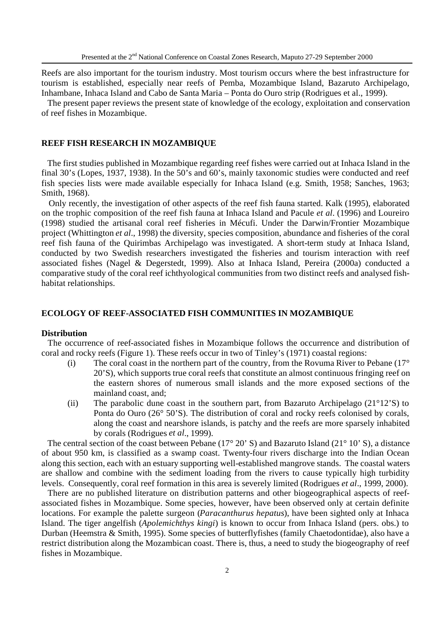Reefs are also important for the tourism industry. Most tourism occurs where the best infrastructure for tourism is established, especially near reefs of Pemba, Mozambique Island, Bazaruto Archipelago, Inhambane, Inhaca Island and Cabo de Santa Maria – Ponta do Ouro strip (Rodrigues et al., 1999).

 The present paper reviews the present state of knowledge of the ecology, exploitation and conservation of reef fishes in Mozambique.

### **REEF FISH RESEARCH IN MOZAMBIQUE**

 The first studies published in Mozambique regarding reef fishes were carried out at Inhaca Island in the final 30's (Lopes, 1937, 1938). In the 50's and 60's, mainly taxonomic studies were conducted and reef fish species lists were made available especially for Inhaca Island (e.g. Smith, 1958; Sanches, 1963; Smith, 1968).

 Only recently, the investigation of other aspects of the reef fish fauna started. Kalk (1995), elaborated on the trophic composition of the reef fish fauna at Inhaca Island and Pacule *et al*. (1996) and Loureiro (1998) studied the artisanal coral reef fisheries in Mécufi. Under the Darwin/Frontier Mozambique project (Whittington *et al*., 1998) the diversity, species composition, abundance and fisheries of the coral reef fish fauna of the Quirimbas Archipelago was investigated. A short-term study at Inhaca Island, conducted by two Swedish researchers investigated the fisheries and tourism interaction with reef associated fishes (Nagel & Degerstedt, 1999). Also at Inhaca Island, Pereira (2000a) conducted a comparative study of the coral reef ichthyological communities from two distinct reefs and analysed fishhabitat relationships.

# **ECOLOGY OF REEF-ASSOCIATED FISH COMMUNITIES IN MOZAMBIQUE**

#### **Distribution**

 The occurrence of reef-associated fishes in Mozambique follows the occurrence and distribution of coral and rocky reefs (Figure 1). These reefs occur in two of Tinley's (1971) coastal regions:

- (i) The coral coast in the northern part of the country, from the Rovuma River to Pebane  $(17^{\circ}$ 20'S), which supports true coral reefs that constitute an almost continuous fringing reef on the eastern shores of numerous small islands and the more exposed sections of the mainland coast, and;
- (ii) The parabolic dune coast in the southern part, from Bazaruto Archipelago (21°12'S) to Ponta do Ouro (26° 50'S). The distribution of coral and rocky reefs colonised by corals, along the coast and nearshore islands, is patchy and the reefs are more sparsely inhabited by corals (Rodrigues *et al*., 1999).

The central section of the coast between Pebane (17° 20' S) and Bazaruto Island (21° 10' S), a distance of about 950 km, is classified as a swamp coast. Twenty-four rivers discharge into the Indian Ocean along this section, each with an estuary supporting well-established mangrove stands. The coastal waters are shallow and combine with the sediment loading from the rivers to cause typically high turbidity levels. Consequently, coral reef formation in this area is severely limited (Rodrigues *et al*., 1999, 2000).

 There are no published literature on distribution patterns and other biogeographical aspects of reefassociated fishes in Mozambique. Some species, however, have been observed only at certain definite locations. For example the palette surgeon (*Paracanthurus hepatus*), have been sighted only at Inhaca Island. The tiger angelfish (*Apolemichthys kingi*) is known to occur from Inhaca Island (pers. obs.) to Durban (Heemstra & Smith, 1995). Some species of butterflyfishes (family Chaetodontidae), also have a restrict distribution along the Mozambican coast. There is, thus, a need to study the biogeography of reef fishes in Mozambique.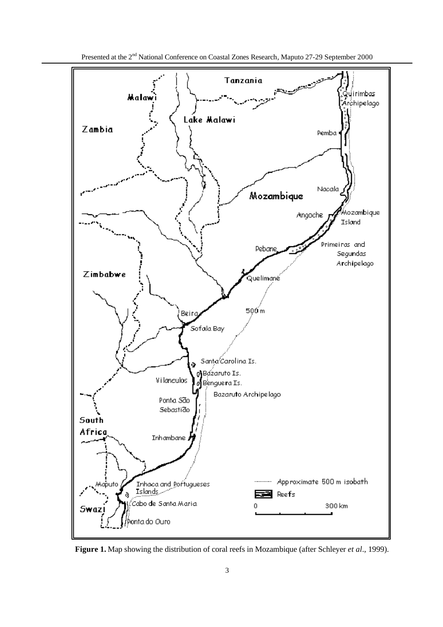

 **Figure 1.** Map showing the distribution of coral reefs in Mozambique (after Schleyer *et al*., 1999).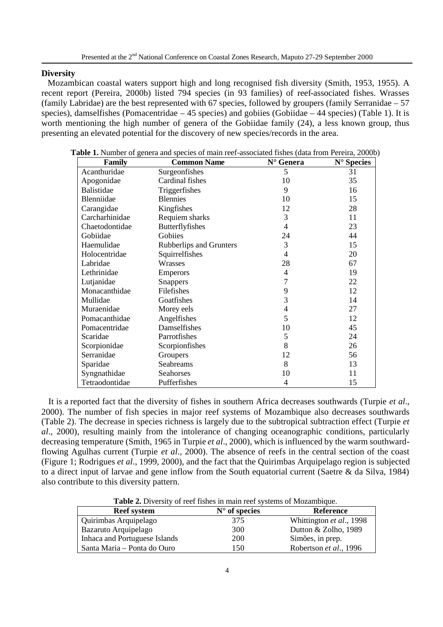# **Diversity**

 Mozambican coastal waters support high and long recognised fish diversity (Smith, 1953, 1955). A recent report (Pereira, 2000b) listed 794 species (in 93 families) of reef-associated fishes. Wrasses (family Labridae) are the best represented with 67 species, followed by groupers (family Serranidae – 57 species), damselfishes (Pomacentridae – 45 species) and gobiies (Gobiidae – 44 species) (Table 1). It is worth mentioning the high number of genera of the Gobiidae family (24), a less known group, thus presenting an elevated potential for the discovery of new species/records in the area.

| Family            | <b>Common Name</b>             | N° Genera      | N° Species |
|-------------------|--------------------------------|----------------|------------|
| Acanthuridae      | Surgeonfishes                  | 5              | 31         |
| Apogonidae        | Cardinal fishes                | 10             | 35         |
| <b>Balistidae</b> | Triggerfishes                  | 9              | 16         |
| Blenniidae        | <b>Blennies</b>                | 10             | 15         |
| Carangidae        | Kingfishes                     | 12             | 28         |
| Carcharhinidae    | Requiem sharks                 | 3              | 11         |
| Chaetodontidae    | <b>Butterflyfishes</b>         | 4              | 23         |
| Gobiidae          | Gobiies                        | 24             | 44         |
| Haemulidae        | <b>Rubberlips and Grunters</b> | 3              | 15         |
| Holocentridae     | Squirrelfishes                 | 4              | 20         |
| Labridae          | Wrasses                        | 28             | 67         |
| Lethrinidae       | <b>Emperors</b>                | $\overline{4}$ | 19         |
| Lutjanidae        | <b>Snappers</b>                | 7              | 22         |
| Monacanthidae     | Filefishes                     | 9              | 12         |
| Mullidae          | Goatfishes                     | 3              | 14         |
| Muraenidae        | Morey eels                     | 4              | 27         |
| Pomacanthidae     | Angelfishes                    | 5              | 12         |
| Pomacentridae     | Damselfishes                   | 10             | 45         |
| Scaridae          | Parrotfishes                   | 5              | 24         |
| Scorpionidae      | Scorpionfishes                 | 8              | 26         |
| Serranidae        | Groupers                       | 12             | 56         |
| Sparidae          | Seabreams                      | 8              | 13         |
| Syngnathidae      | Seahorses                      | 10             | 11         |
| Tetraodontidae    | Pufferfishes                   | 4              | 15         |

**Table 1.** Number of genera and species of main reef-associated fishes (data from Pereira, 2000b)

 It is a reported fact that the diversity of fishes in southern Africa decreases southwards (Turpie *et al*., 2000). The number of fish species in major reef systems of Mozambique also decreases southwards (Table 2). The decrease in species richness is largely due to the subtropical subtraction effect (Turpie *et al*., 2000), resulting mainly from the intolerance of changing oceanographic conditions, particularly decreasing temperature (Smith, 1965 in Turpie *et al*., 2000), which is influenced by the warm southwardflowing Agulhas current (Turpie *et al*., 2000). The absence of reefs in the central section of the coast (Figure 1; Rodrigues *et al*., 1999, 2000), and the fact that the Quirimbas Arquipelago region is subjected to a direct input of larvae and gene inflow from the South equatorial current (Saetre & da Silva, 1984) also contribute to this diversity pattern.

**Table 2.** Diversity of reef fishes in main reef systems of Mozambique.

| <b>Reef</b> system            | $N^{\circ}$ of species | <b>Reference</b>         |
|-------------------------------|------------------------|--------------------------|
| Quirimbas Arquipelago         | 375                    | Whittington et al., 1998 |
| Bazaruto Arquipelago          | 300                    | Dutton & Zolho, 1989     |
| Inhaca and Portuguese Islands | 200                    | Simões, in prep.         |
| Santa Maria – Ponta do Ouro   | 150                    | Robertson et al., 1996   |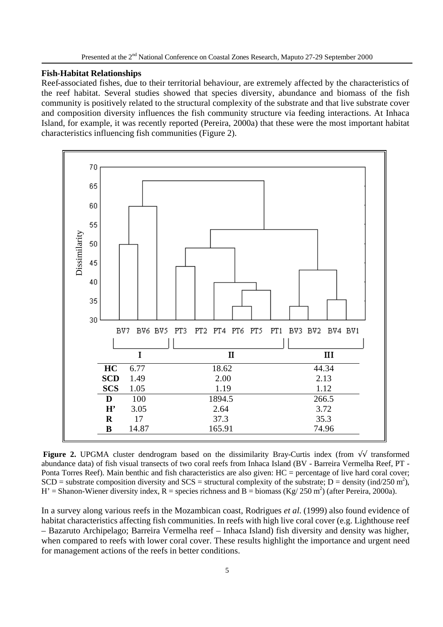### **Fish-Habitat Relationships**

Reef-associated fishes, due to their territorial behaviour, are extremely affected by the characteristics of the reef habitat. Several studies showed that species diversity, abundance and biomass of the fish community is positively related to the structural complexity of the substrate and that live substrate cover and composition diversity influences the fish community structure via feeding interactions. At Inhaca Island, for example, it was recently reported (Pereira, 2000a) that these were the most important habitat characteristics influencing fish communities (Figure 2).



**Figure 2.** UPGMA cluster dendrogram based on the dissimilarity Bray-Curtis index (from √√ transformed abundance data) of fish visual transects of two coral reefs from Inhaca Island (BV - Barreira Vermelha Reef, PT - Ponta Torres Reef). Main benthic and fish characteristics are also given: HC = percentage of live hard coral cover; SCD = substrate composition diversity and SCS = structural complexity of the substrate; D = density (ind/250 m<sup>2</sup>), H' = Shanon-Wiener diversity index, R = species richness and B = biomass (Kg/ 250 m<sup>2</sup>) (after Pereira, 2000a).

In a survey along various reefs in the Mozambican coast, Rodrigues *et al*. (1999) also found evidence of habitat characteristics affecting fish communities. In reefs with high live coral cover (e.g. Lighthouse reef – Bazaruto Archipelago; Barreira Vermelha reef – Inhaca Island) fish diversity and density was higher, when compared to reefs with lower coral cover. These results highlight the importance and urgent need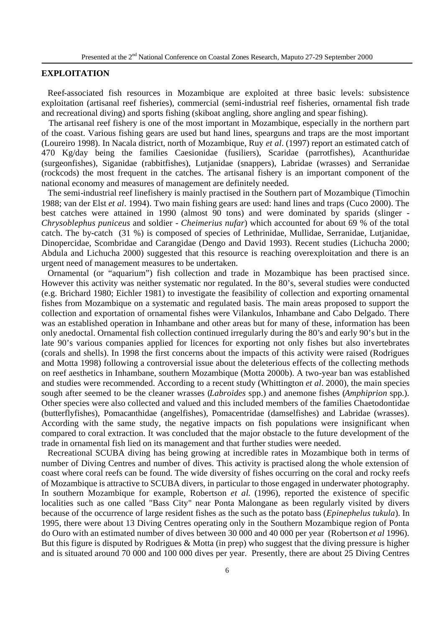# **EXPLOITATION**

 Reef-associated fish resources in Mozambique are exploited at three basic levels: subsistence exploitation (artisanal reef fisheries), commercial (semi-industrial reef fisheries, ornamental fish trade and recreational diving) and sports fishing (skiboat angling, shore angling and spear fishing).

 The artisanal reef fishery is one of the most important in Mozambique, especially in the northern part of the coast. Various fishing gears are used but hand lines, spearguns and traps are the most important (Loureiro 1998). In Nacala district, north of Mozambique, Ruy *et al*. (1997) report an estimated catch of 470 Kg/day being the families Caesionidae (fusiliers), Scaridae (parrotfishes), Acanthuridae (surgeonfishes), Siganidae (rabbitfishes), Lutjanidae (snappers), Labridae (wrasses) and Serranidae (rockcods) the most frequent in the catches. The artisanal fishery is an important component of the national economy and measures of management are definitely needed.

 The semi-industrial reef linefishery is mainly practised in the Southern part of Mozambique (Timochin 1988; van der Elst *et al*. 1994). Two main fishing gears are used: hand lines and traps (Cuco 2000). The best catches were attained in 1990 (almost 90 tons) and were dominated by sparids (slinger - *Chrysoblephus puniceus* and soldier - *Cheimerius nufar*) which accounted for about 69 % of the total catch. The by-catch (31 %) is composed of species of Lethrinidae, Mullidae, Serranidae, Lutjanidae, Dinopercidae, Scombridae and Carangidae (Dengo and David 1993). Recent studies (Lichucha 2000; Abdula and Lichucha 2000) suggested that this resource is reaching overexploitation and there is an urgent need of management measures to be undertaken.

 Ornamental (or "aquarium") fish collection and trade in Mozambique has been practised since. However this activity was neither systematic nor regulated. In the 80's, several studies were conducted (e.g. Brichard 1980; Eichler 1981) to investigate the feasibility of collection and exporting ornamental fishes from Mozambique on a systematic and regulated basis. The main areas proposed to support the collection and exportation of ornamental fishes were Vilankulos, Inhambane and Cabo Delgado. There was an established operation in Inhambane and other areas but for many of these, information has been only anedoctal. Ornamental fish collection continued irregularly during the 80's and early 90's but in the late 90's various companies applied for licences for exporting not only fishes but also invertebrates (corals and shells). In 1998 the first concerns about the impacts of this activity were raised (Rodrigues and Motta 1998) following a controversial issue about the deleterious effects of the collecting methods on reef aesthetics in Inhambane, southern Mozambique (Motta 2000b). A two-year ban was established and studies were recommended. According to a recent study (Whittington *et al*. 2000), the main species sough after seemed to be the cleaner wrasses (*Labroides* spp.) and anemone fishes (*Amphiprion* spp.). Other species were also collected and valued and this included members of the families Chaetodontidae (butterflyfishes), Pomacanthidae (angelfishes), Pomacentridae (damselfishes) and Labridae (wrasses). According with the same study, the negative impacts on fish populations were insignificant when compared to coral extraction. It was concluded that the major obstacle to the future development of the trade in ornamental fish lied on its management and that further studies were needed.

 Recreational SCUBA diving has being growing at incredible rates in Mozambique both in terms of number of Diving Centres and number of dives. This activity is practised along the whole extension of coast where coral reefs can be found. The wide diversity of fishes occurring on the coral and rocky reefs of Mozambique is attractive to SCUBA divers, in particular to those engaged in underwater photography. In southern Mozambique for example, Robertson *et al*. (1996), reported the existence of specific localities such as one called "Bass City" near Ponta Malongane as been regularly visited by divers because of the occurrence of large resident fishes as the such as the potato bass (*Epinephelus tukula*). In 1995, there were about 13 Diving Centres operating only in the Southern Mozambique region of Ponta do Ouro with an estimated number of dives between 30 000 and 40 000 per year (Robertson *et al* 1996). But this figure is disputed by Rodrigues & Motta (in prep) who suggest that the diving pressure is higher and is situated around 70 000 and 100 000 dives per year. Presently, there are about 25 Diving Centres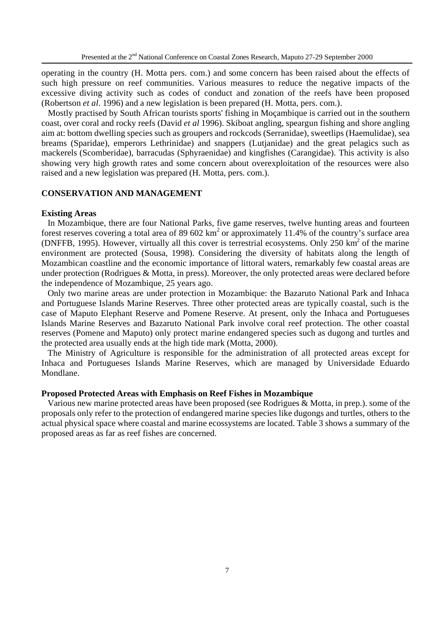operating in the country (H. Motta pers. com.) and some concern has been raised about the effects of such high pressure on reef communities. Various measures to reduce the negative impacts of the excessive diving activity such as codes of conduct and zonation of the reefs have been proposed (Robertson *et al*. 1996) and a new legislation is been prepared (H. Motta, pers. com.).

 Mostly practised by South African tourists sports' fishing in Moçambique is carried out in the southern coast, over coral and rocky reefs (David *et al* 1996). Skiboat angling, speargun fishing and shore angling aim at: bottom dwelling species such as groupers and rockcods (Serranidae), sweetlips (Haemulidae), sea breams (Sparidae), emperors Lethrinidae) and snappers (Lutjanidae) and the great pelagics such as mackerels (Scomberidae), barracudas (Sphyraenidae) and kingfishes (Carangidae). This activity is also showing very high growth rates and some concern about overexploitation of the resources were also raised and a new legislation was prepared (H. Motta, pers. com.).

# **CONSERVATION AND MANAGEMENT**

#### **Existing Areas**

 In Mozambique, there are four National Parks, five game reserves, twelve hunting areas and fourteen forest reserves covering a total area of 89 602  $km^2$  or approximately 11.4% of the country's surface area (DNFFB, 1995). However, virtually all this cover is terrestrial ecosystems. Only  $250 \text{ km}^2$  of the marine environment are protected (Sousa, 1998). Considering the diversity of habitats along the length of Mozambican coastline and the economic importance of littoral waters, remarkably few coastal areas are under protection (Rodrigues & Motta, in press). Moreover, the only protected areas were declared before the independence of Mozambique, 25 years ago.

 Only two marine areas are under protection in Mozambique: the Bazaruto National Park and Inhaca and Portuguese Islands Marine Reserves. Three other protected areas are typically coastal, such is the case of Maputo Elephant Reserve and Pomene Reserve. At present, only the Inhaca and Portugueses Islands Marine Reserves and Bazaruto National Park involve coral reef protection. The other coastal reserves (Pomene and Maputo) only protect marine endangered species such as dugong and turtles and the protected area usually ends at the high tide mark (Motta, 2000).

 The Ministry of Agriculture is responsible for the administration of all protected areas except for Inhaca and Portugueses Islands Marine Reserves, which are managed by Universidade Eduardo Mondlane.

#### **Proposed Protected Areas with Emphasis on Reef Fishes in Mozambique**

 Various new marine protected areas have been proposed (see Rodrigues & Motta, in prep.). some of the proposals only refer to the protection of endangered marine species like dugongs and turtles, others to the actual physical space where coastal and marine ecossystems are located. Table 3 shows a summary of the proposed areas as far as reef fishes are concerned.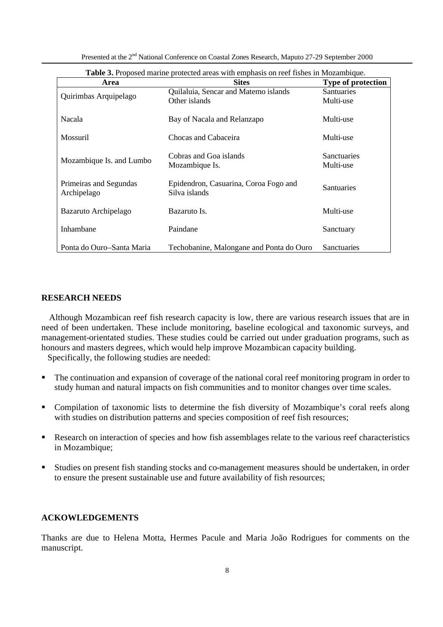| Table 3. Proposed marine protected areas with emphasis on reef fishes in Mozambique. |                                          |                           |  |  |
|--------------------------------------------------------------------------------------|------------------------------------------|---------------------------|--|--|
| Area                                                                                 | <b>Sites</b>                             | <b>Type of protection</b> |  |  |
|                                                                                      | Quilaluia, Sencar and Matemo islands     | <b>Santuaries</b>         |  |  |
| Quirimbas Arquipelago                                                                | Other islands                            | Multi-use                 |  |  |
| Nacala                                                                               | Bay of Nacala and Relanzapo              | Multi-use                 |  |  |
| Mossuril                                                                             | Chocas and Cabaceira                     | Multi-use                 |  |  |
|                                                                                      | Cobras and Goa islands                   | <b>Sanctuaries</b>        |  |  |
| Mozambique Is. and Lumbo                                                             | Mozambique Is.                           | Multi-use                 |  |  |
| Primeiras and Segundas                                                               | Epidendron, Casuarina, Coroa Fogo and    | <b>Santuaries</b>         |  |  |
| Archipelago                                                                          | Silva islands                            |                           |  |  |
| Bazaruto Archipelago                                                                 | Bazaruto Is.                             | Multi-use                 |  |  |
| Inhambane                                                                            | Paindane                                 | Sanctuary                 |  |  |
|                                                                                      |                                          |                           |  |  |
| Ponta do Ouro–Santa Maria                                                            | Techobanine, Malongane and Ponta do Ouro | Sanctuaries               |  |  |

Presented at the 2<sup>nd</sup> National Conference on Coastal Zones Research, Maputo 27-29 September 2000

# **RESEARCH NEEDS**

 Although Mozambican reef fish research capacity is low, there are various research issues that are in need of been undertaken. These include monitoring, baseline ecological and taxonomic surveys, and management-orientated studies. These studies could be carried out under graduation programs, such as honours and masters degrees, which would help improve Mozambican capacity building.

Specifically, the following studies are needed:

- The continuation and expansion of coverage of the national coral reef monitoring program in order to study human and natural impacts on fish communities and to monitor changes over time scales.
- Compilation of taxonomic lists to determine the fish diversity of Mozambique's coral reefs along with studies on distribution patterns and species composition of reef fish resources;
- Research on interaction of species and how fish assemblages relate to the various reef characteristics in Mozambique;
- ß Studies on present fish standing stocks and co-management measures should be undertaken, in order to ensure the present sustainable use and future availability of fish resources;

# **ACKOWLEDGEMENTS**

Thanks are due to Helena Motta, Hermes Pacule and Maria João Rodrigues for comments on the manuscript.